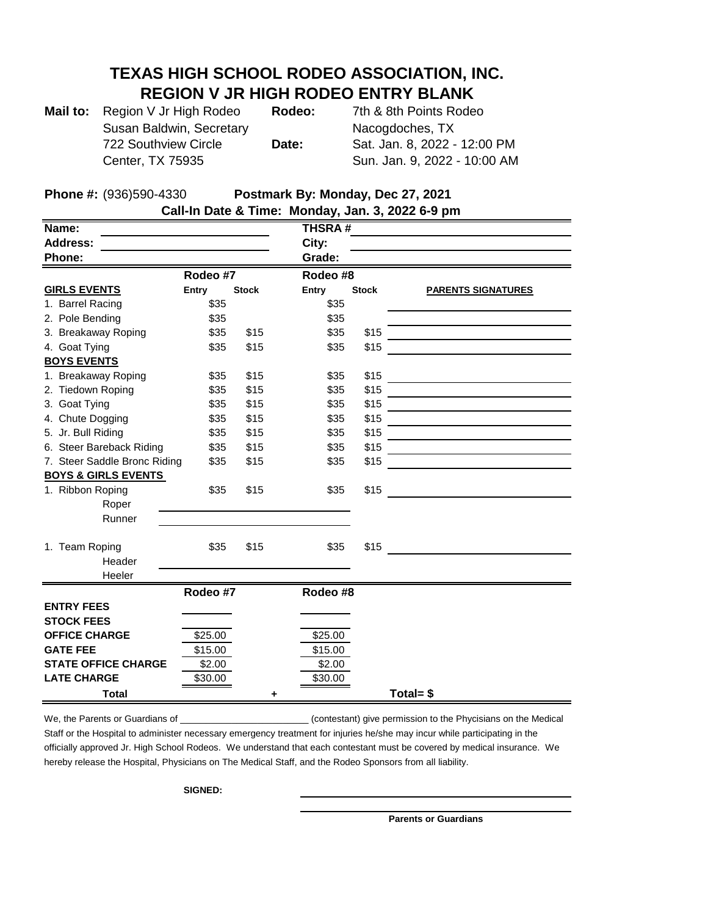## **TEXAS HIGH SCHOOL RODEO ASSOCIATION, INC. REGION V JR HIGH RODEO ENTRY BLANK**

| Mail to: Region V Jr High Rodeo | Rodeo: | 7th & 8th Points Rodeo       |
|---------------------------------|--------|------------------------------|
| Susan Baldwin, Secretary        |        | Nacogdoches, TX              |
| 722 Southview Circle            | Date:  | Sat. Jan. 8, 2022 - 12:00 PM |
| Center, TX 75935                |        | Sun. Jan. 9, 2022 - 10:00 AM |

**Phone #:** (936)590-4330 **Postmark By: Monday, Dec 27, 2021** 

| Call-In Date & Time: Monday, Jan. 3, 2022 6-9 pm |                          |          |               |              |              |                           |  |  |  |  |
|--------------------------------------------------|--------------------------|----------|---------------|--------------|--------------|---------------------------|--|--|--|--|
| Name:                                            |                          |          | <b>THSRA#</b> |              |              |                           |  |  |  |  |
| <b>Address:</b>                                  |                          |          | City:         |              |              |                           |  |  |  |  |
| Phone:                                           |                          |          |               | Grade:       |              |                           |  |  |  |  |
| Rodeo #7                                         |                          |          | Rodeo #8      |              |              |                           |  |  |  |  |
|                                                  | <b>GIRLS EVENTS</b>      | Entry    | <b>Stock</b>  | <b>Entry</b> | <b>Stock</b> | <b>PARENTS SIGNATURES</b> |  |  |  |  |
|                                                  | 1. Barrel Racing         | \$35     |               | \$35         |              |                           |  |  |  |  |
|                                                  | 2. Pole Bending          | \$35     |               | \$35         |              |                           |  |  |  |  |
|                                                  | 3. Breakaway Roping      | \$35     | \$15          | \$35         | \$15         |                           |  |  |  |  |
|                                                  | 4. Goat Tying            | \$35     | \$15          | \$35         | \$15         |                           |  |  |  |  |
|                                                  | <b>BOYS EVENTS</b>       |          |               |              |              |                           |  |  |  |  |
|                                                  | 1. Breakaway Roping      | \$35     | \$15          | \$35         | \$15         |                           |  |  |  |  |
|                                                  | 2. Tiedown Roping        | \$35     | \$15          | \$35         | \$15         |                           |  |  |  |  |
|                                                  | 3. Goat Tying            | \$35     | \$15          | \$35         | \$15         |                           |  |  |  |  |
|                                                  | 4. Chute Dogging         | \$35     | \$15          | \$35         | \$15         |                           |  |  |  |  |
|                                                  | 5. Jr. Bull Riding       | \$35     | \$15          | \$35         | \$15         |                           |  |  |  |  |
|                                                  | 6. Steer Bareback Riding | \$35     | \$15          | \$35         | \$15         |                           |  |  |  |  |
| 7. Steer Saddle Bronc Riding                     |                          | \$35     | \$15          | \$35         | \$15         |                           |  |  |  |  |
| <b>BOYS &amp; GIRLS EVENTS</b>                   |                          |          |               |              |              |                           |  |  |  |  |
| 1. Ribbon Roping                                 |                          | \$35     | \$15          | \$35         | \$15         |                           |  |  |  |  |
|                                                  | Roper                    |          |               |              |              |                           |  |  |  |  |
|                                                  | Runner                   |          |               |              |              |                           |  |  |  |  |
|                                                  |                          |          |               |              |              |                           |  |  |  |  |
|                                                  | 1. Team Roping           | \$35     | \$15          | \$35         | \$15         |                           |  |  |  |  |
|                                                  | Header                   |          |               |              |              |                           |  |  |  |  |
|                                                  | Heeler                   |          |               |              |              |                           |  |  |  |  |
|                                                  |                          | Rodeo #7 |               | Rodeo #8     |              |                           |  |  |  |  |
| <b>ENTRY FEES</b>                                |                          |          |               |              |              |                           |  |  |  |  |
| <b>STOCK FEES</b>                                |                          |          |               |              |              |                           |  |  |  |  |
| <b>OFFICE CHARGE</b>                             |                          | \$25.00  |               | \$25.00      |              |                           |  |  |  |  |
| <b>GATE FEE</b>                                  |                          | \$15.00  |               | \$15.00      |              |                           |  |  |  |  |
| <b>STATE OFFICE CHARGE</b>                       |                          | \$2.00   |               | \$2.00       |              |                           |  |  |  |  |
| <b>LATE CHARGE</b>                               |                          | \$30.00  |               | \$30.00      |              |                           |  |  |  |  |
| <b>Total</b>                                     |                          |          |               |              |              | Total= $$$                |  |  |  |  |

We, the Parents or Guardians of \_\_\_\_\_\_\_\_\_\_\_\_\_\_\_\_\_\_\_\_\_\_\_\_\_\_\_\_\_\_\_(contestant) give permission to the Phycisians on the Medical Staff or the Hospital to administer necessary emergency treatment for injuries he/she may incur while participating in the officially approved Jr. High School Rodeos. We understand that each contestant must be covered by medical insurance. We hereby release the Hospital, Physicians on The Medical Staff, and the Rodeo Sponsors from all liability.

**SIGNED:** 

**Parents or Guardians**